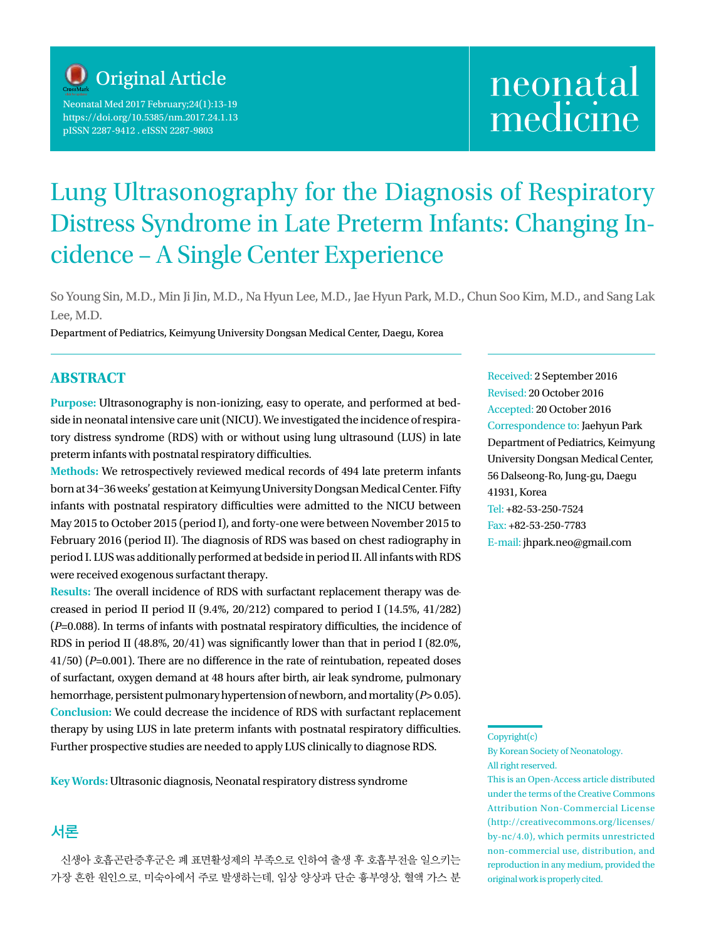

Neonatal Med 2017 February;24(1):13-19 https://doi.org/10.5385/nm.2017.24.1.13 pISSN 2287-9412 . eISSN 2287-9803

# neonatal medicine

# Lung Ultrasonography for the Diagnosis of Respiratory Distress Syndrome in Late Preterm Infants: Changing Incidence – A Single Center Experience

So Young Sin, M.D., Min Ji Jin, M.D., Na Hyun Lee, M.D., Jae Hyun Park, M.D., Chun Soo Kim, M.D., and Sang Lak Lee, M.D.

Department of Pediatrics, Keimyung University Dongsan Medical Center, Daegu, Korea

#### **ABSTRACT**

**Purpose:** Ultrasonography is non-ionizing, easy to operate, and performed at bedside in neonatal intensive care unit (NICU). We investigated the incidence of respiratory distress syndrome (RDS) with or without using lung ultrasound (LUS) in late preterm infants with postnatal respiratory difficulties.

**Methods:** We retrospectively reviewed medical records of 494 late preterm infants born at 34–36 weeks' gestation at Keimyung University Dongsan Medical Center. Fifty infants with postnatal respiratory difficulties were admitted to the NICU between May 2015 to October 2015 (period I), and forty-one were between November 2015 to February 2016 (period II). The diagnosis of RDS was based on chest radiography in period I. LUS was additionally performed at bedside in period II. All infants with RDS were received exogenous surfactant therapy.

**Results:** The overall incidence of RDS with surfactant replacement therapy was decreased in period II period II (9.4%, 20/212) compared to period I (14.5%, 41/282) (*P*=0.088). In terms of infants with postnatal respiratory difficulties, the incidence of RDS in period II (48.8%, 20/41) was significantly lower than that in period I (82.0%, 41/50) (*P*=0.001). There are no difference in the rate of reintubation, repeated doses of surfactant, oxygen demand at 48 hours after birth, air leak syndrome, pulmonary hemorrhage, persistent pulmonary hypertension of newborn, and mortality (*P*> 0.05). **Conclusion:** We could decrease the incidence of RDS with surfactant replacement therapy by using LUS in late preterm infants with postnatal respiratory difficulties. Further prospective studies are needed to apply LUS clinically to diagnose RDS.

**Key Words:** Ultrasonic diagnosis, Neonatal respiratory distress syndrome

# 서론

신생아 호흡곤란증후군은 폐 표면활성제의 부족으로 인하여 출생 후 호흡부전을 일으키는 가장 흔한 원인으로, 미숙아에서 주로 발생하는데, 임상 양상과 단순 흉부영상, 혈액 가스 분 Received: 2 September 2016 Revised: 20 October 2016 Accepted: 20 October 2016 Correspondence to: Jaehyun Park Department of Pediatrics, Keimyung University Dongsan Medical Center, 56 Dalseong-Ro, Jung-gu, Daegu 41931, Korea Tel: +82-53-250-7524 Fax: +82-53-250-7783 E-mail: jhpark.neo@gmail.com

This is an Open-Access article distributed under the terms of the Creative Commons Attribution Non-Commercial License (http://creativecommons.org/licenses/ by-nc/4.0), which permits unrestricted non-commercial use, distribution, and reproduction in any medium, provided the original work is properly cited.

Copyright(c)

By Korean Society of Neonatology. All right reserved.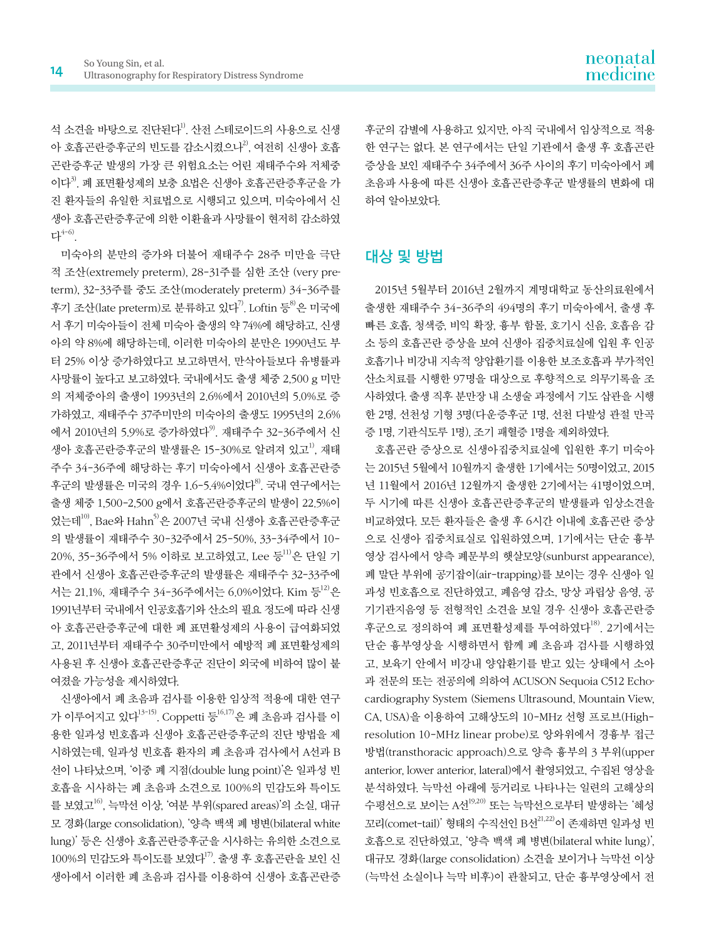석 소견을 바탕으로 진단된다<sup>1)</sup>. 산전 스테로이드의 사용으로 신생 아 호흡곤란증후군의 빈도를 감소시켰으나<sup>2</sup>, 여전히 신생아 호흡 곤란증후군 발생의 가장 큰 위험요소는 어린 재태주수와 저체중 이다3). 폐 표면활성제의 보충 요법은 신생아 호흡곤란증후군을 가 진 환자들의 유일한 치료법으로 시행되고 있으며, 미숙아에서 신 생아 호흡곤란증후군에 의한 이환율과 사망률이 현저히 감소하였  $H^{4-6}$ .

미숙아의 분만의 증가와 더불어 재태주수 28주 미만을 극단 적 조산(extremely preterm), 28-31주를 심한 조산 (very preterm), 32-33주를 중도 조산(moderately preterm) 34-36주를 후기 조산(late preterm)로 분류하고 있다<sup>7)</sup>. Loftin 등 <sup>8)</sup>은 미국에 서 후기 미숙아들이 전체 미숙아 출생의 약 74%에 해당하고, 신생 아의 약 8%에 해당하는데, 이러한 미숙아의 분만은 1990년도 부 터 25% 이상 증가하였다고 보고하면서, 만삭아들보다 유병률과 사망률이 높다고 보고하였다. 국내에서도 출생 체중 2,500 g 미만 의 저체중아의 출생이 1993년의 2.6%에서 2010년의 5.0%로 증 가하였고, 재태주수 37주미만의 미숙아의 출생도 1995년의 2.6% 에서 2010년의 5.9%로 증가하였다<sup>9)</sup>. 재태주수 32-36주에서 신 생아 호흡곤란증후군의 발생률은 15-30%로 알려져 있고<sup>1)</sup>, 재태 주수 34-36주에 해당하는 후기 미숙아에서 신생아 호흡곤란증 후군의 발생률은 미국의 경우 1.6-5.4%이었다 $^{8}$ . 국내 연구에서는 출생 체중 1,500-2,500 g에서 호흡곤란증후군의 발생이 22.5%이 었는데10), Bae와 Hahn5)은 2007년 국내 신생아 호흡곤란증후군 의 발생률이 재태주수 30-32주에서 25-50%, 33-34주에서 10- 20%, 35-36주에서 5% 이하로 보고하였고, Lee 등<sup>11)</sup>은 단일 기 관에서 신생아 호흡곤란증후군의 발생률은 재태주수 32-33주에 서는 21.1%, 재태주수 34-36주에서는 6.0%이었다. Kim 등<sup>12)</sup>은 1991년부터 국내에서 인공호흡기와 산소의 필요 정도에 따라 신생 아 호흡곤란증후군에 대한 폐 표면활성제의 사용이 급여화되었 고, 2011년부터 재태주수 30주미만에서 예방적 폐 표면활성제의 사용된 후 신생아 호흡곤란증후군 진단이 외국에 비하여 많이 붙 여졌을 가능성을 제시하였다.

신생아에서 폐 초음파 검사를 이용한 임상적 적용에 대한 연구 가 이루어지고 있다<sup>13-15)</sup>. Coppetti 등<sup>16,17)</sup>은 폐 초음파 검사를 이 용한 일과성 빈호흡과 신생아 호흡곤란증후군의 진단 방법을 제 시하였는데, 일과성 빈호흡 환자의 폐 초음파 검사에서 A선과 B 선이 나타났으며, '이중 폐 지점(double lung point)'은 일과성 빈 호흡을 시사하는 폐 초음파 소견으로 100%의 민감도와 특이도 를 보였고16), 늑막선 이상, '여분 부위(spared areas)'의 소실, 대규 모 경화(large consolidation), '양측 백색 폐 병변(bilateral white lung)' 등은 신생아 호흡곤란증후군을 시사하는 유의한 소견으로 100%의 민감도와 특이도를 보였다<sup>17)</sup>. 출생 후 호흡곤란을 보인 신 생아에서 이러한 폐 초음파 검사를 이용하여 신생아 호흡곤란증 후군의 감별에 사용하고 있지만, 아직 국내에서 임상적으로 적용 한 연구는 없다. 본 연구에서는 단일 기관에서 출생 후 호흡곤란 증상을 보인 재태주수 34주에서 36주 사이의 후기 미숙아에서 폐 초음파 사용에 따른 신생아 호흡곤란증후군 발생률의 변화에 대 하여 알아보았다.

# 대상 및 방법

2015년 5월부터 2016년 2월까지 계명대학교 동산의료원에서 출생한 재태주수 34-36주의 494명의 후기 미숙아에서, 출생 후 빠른 호흡, 청색증, 비익 확장, 흉부 함몰, 호기시 신음, 호흡음 감 소 등의 호흡곤란 증상을 보여 신생아 집중치료실에 입원 후 인공 호흡기나 비강내 지속적 양압환기를 이용한 보조호흡과 부가적인 산소치료를 시행한 97명을 대상으로 후향적으로 의무기록을 조 사하였다. 출생 직후 분만장 내 소생술 과정에서 기도 삽관을 시행 한 2명, 선천성 기형 3명(다운증후군 1명, 선천 다발성 관절 만곡 증 1명, 기관식도루 1명), 조기 패혈증 1명을 제외하였다.

호흡곤란 증상으로 신생아집중치료실에 입원한 후기 미숙아 는 2015년 5월에서 10월까지 출생한 1기에서는 50명이었고, 2015 년 11월에서 2016년 12월까지 출생한 2기에서는 41명이었으며, 두 시기에 따른 신생아 호흡곤란증후군의 발생률과 임상소견을 비교하였다. 모든 환자들은 출생 후 6시간 이내에 호흡곤란 증상 으로 신생아 집중치료실로 입원하였으며, 1기에서는 단순 흉부 영상 검사에서 양측 폐문부의 햇살모양(sunburst appearance), 폐 말단 부위에 공기잡이(air-trapping)를 보이는 경우 신생아 일 과성 빈호흡으로 진단하였고, 폐음영 감소, 망상 과립상 음영, 공 기기관지음영 등 전형적인 소견을 보일 경우 신생아 호흡곤란증 후군으로 정의하여 폐 표면활성제를 투여하였다<sup>18</sup>. 2기에서는 단순 흉부영상을 시행하면서 함께 폐 초음파 검사를 시행하였 고, 보육기 안에서 비강내 양압환기를 받고 있는 상태에서 소아 과 전문의 또는 전공의에 의하여 ACUSON Sequoia C512 Echocardiography System (Siemens Ultrasound, Mountain View, CA, USA)을 이용하여 고해상도의 10-MHz 선형 프로브(Highresolution 10-MHz linear probe)로 앙와위에서 경흉부 접근 방법(transthoracic approach)으로 양측 흉부의 3 부위(upper anterior, lower anterior, lateral)에서 촬영되었고, 수집된 영상을 분석하였다. 늑막선 아래에 등거리로 나타나는 일련의 고해상의 수평선으로 보이는 A선19,20) 또는 늑막선으로부터 발생하는 '혜성  $\mathbb{Z}$ 리(comet-tail)' 형태의 수직선인 B선 $^{21,22)}$ 이 존재하면 일과성 빈 호흡으로 진단하였고, '양측 백색 폐 병변(bilateral white lung)', 대규모 경화(large consolidation) 소견을 보이거나 늑막선 이상 (늑막선 소실이나 늑막 비후)이 관찰되고, 단순 흉부영상에서 전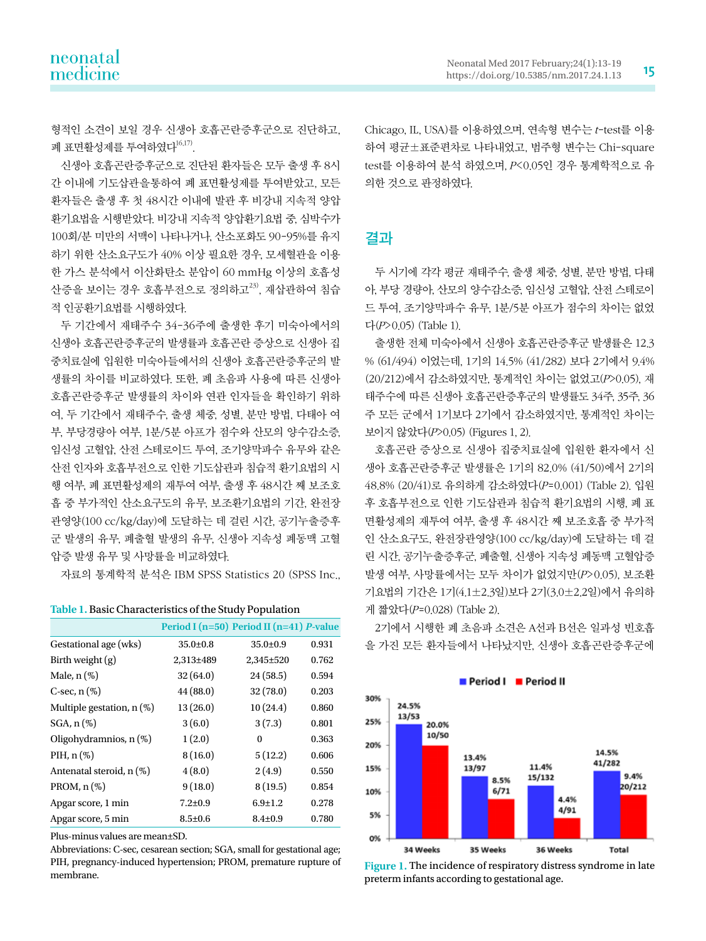형적인 소견이 보일 경우 신생아 호흡곤란증후군으로 진단하고, 폐 표면활성제를 투여하였다 $^{16,17)}$ .

신생아 호흡곤란증후군으로 진단된 환자들은 모두 출생 후 8시 간 이내에 기도삽관을통하여 폐 표면활성제를 투여받았고, 모든 환자들은 출생 후 첫 48시간 이내에 발관 후 비강내 지속적 양압 환기요법을 시행받았다. 비강내 지속적 양압환기요법 중, 심박수가 100회/분 미만의 서맥이 나타나거나, 산소포화도 90-95%를 유지 하기 위한 산소요구도가 40% 이상 필요한 경우, 모세혈관을 이용 한 가스 분석에서 이산화탄소 분압이 60 mmHg 이상의 호흡성 산증을 보이는 경우 호흡부전으로 정의하고<sup>23)</sup>, 재삽관하여 침습 적 인공환기요법를 시행하였다.

두 기간에서 재태주수 34-36주에 출생한 후기 미숙아에서의 신생아 호흡곤란증후군의 발생률과 호흡곤란 증상으로 신생아 집 중치료실에 입원한 미숙아들에서의 신생아 호흡곤란증후군의 발 생률의 차이를 비교하였다. 또한, 폐 초음파 사용에 따른 신생아 호흡곤란증후군 발생률의 차이와 연관 인자들을 확인하기 위하 여, 두 기간에서 재태주수, 출생 체중, 성별, 분만 방법, 다태아 여 부, 부당경량아 여부, 1분/5분 아프가 점수와 산모의 양수감소증, 임신성 고혈압, 산전 스테로이드 투여, 조기양막파수 유무와 같은 산전 인자와 호흡부전으로 인한 기도삽관과 침습적 환기요법의 시 행 여부, 폐 표면활성제의 재투여 여부, 출생 후 48시간 째 보조호 흡 중 부가적인 산소요구도의 유무, 보조환기요법의 기간, 완전장 관영양(100 cc/kg/day)에 도달하는 데 걸린 시간, 공기누출증후 군 발생의 유무, 폐출혈 발생의 유무, 신생아 지속성 폐동맥 고혈 압증 발생 유무 및 사망률을 비교하였다.

자료의 통계학적 분석은 IBM SPSS Statistics 20 (SPSS Inc.,

| Table 1. Basic Characteristics of the Study Population |  |  |
|--------------------------------------------------------|--|--|
|                                                        |  |  |

|                             |                | Period I $(n=50)$ Period II $(n=41)$ P-value |       |
|-----------------------------|----------------|----------------------------------------------|-------|
| Gestational age (wks)       | $35.0 \pm 0.8$ | $35.0 \pm 0.9$                               | 0.931 |
| Birth weight $(g)$          | 2,313±489      | $2,345 \pm 520$                              | 0.762 |
| Male, $n$ $(\%)$            | 32(64.0)       | 24(58.5)                                     | 0.594 |
| C-sec, $n$ $(\%)$           | 44 (88.0)      | 32(78.0)                                     | 0.203 |
| Multiple gestation, $n$ (%) | 13(26.0)       | 10(24.4)                                     | 0.860 |
| $SGA, n(\%)$                | 3(6.0)         | 3(7.3)                                       | 0.801 |
| Oligohydramnios, $n$ (%)    | 1(2.0)         | 0                                            | 0.363 |
| PIH, $n$ (%)                | 8(16.0)        | 5(12.2)                                      | 0.606 |
| Antenatal steroid, n (%)    | 4(8.0)         | 2(4.9)                                       | 0.550 |
| PROM, $n$ (%)               | 9(18.0)        | 8(19.5)                                      | 0.854 |
| Apgar score, 1 min          | $7.2 + 0.9$    | $6.9 \pm 1.2$                                | 0.278 |
| Apgar score, 5 min          | $8.5 \pm 0.6$  | $8.4 \pm 0.9$                                | 0.780 |

Plus-minus values are mean±SD.

Abbreviations: C-sec, cesarean section; SGA, small for gestational age; PIH, pregnancy-induced hypertension; PROM, premature rupture of PIH, pregnancy-induced hypertension; PROM, premature rupture of **Figure 1.** The incidence of respiratory distress syndrome in late membrane.

Chicago, IL, USA)를 이용하였으며, 연속형 변수는 t-test를 이용 하여 평균±표준편차로 나타내었고, 범주형 변수는 Chi-square test를 이용하여 분석 하였으며, P<0.05인 경우 통계학적으로 유 의한 것으로 판정하였다.

# 결과

두 시기에 각각 평균 재태주수, 출생 체중, 성별, 분만 방법, 다태 아, 부당 경량아, 산모의 양수감소증, 임신성 고혈압, 산전 스테로이 드 투여, 조기양막파수 유무, 1분/5분 아프가 점수의 차이는 없었 다(P>0.05) (Table 1).

출생한 전체 미숙아에서 신생아 호흡곤란증후군 발생률은 12.3 % (61/494) 이었는데, 1기의 14.5% (41/282) 보다 2기에서 9.4% (20/212)에서 감소하였지만, 통계적인 차이는 없었고(P>0.05), 재 태주수에 따른 신생아 호흡곤란증후군의 발생률도 34주, 35주, 36 주 모든 군에서 1기보다 2기에서 감소하였지만, 통계적인 차이는 보이지 않았다(P>0.05) (Figures 1, 2).

호흡곤란 증상으로 신생아 집중치료실에 입원한 환자에서 신 생아 호흡곤란증후군 발생률은 1기의 82.0% (41/50)에서 2기의 48.8% (20/41)로 유의하게 감소하였다(P=0.001) (Table 2). 입원 후 호흡부전으로 인한 기도삽관과 침습적 환기요법의 시행, 폐 표 면활성제의 재투여 여부, 출생 후 48시간 째 보조호흡 중 부가적 인 산소요구도, 완전장관영양(100 cc/kg/day)에 도달하는 데 걸 린 시간, 공기누출증후군, 폐출혈, 신생아 지속성 폐동맥 고혈압증 발생 여부, 사망률에서는 모두 차이가 없었지만(P>0.05), 보조환 기요법의 기간은 1기(4.1±2.3일)보다 2기(3.0±2.2일)에서 유의하 게 짧았다(P=0.028) (Table 2).

2기에서 시행한 폐 초음파 소견은 A선과 B선은 일과성 빈호흡 을 가진 모든 환자들에서 나타났지만, 신생아 호흡곤란증후군에



preterm infants according to gestational age.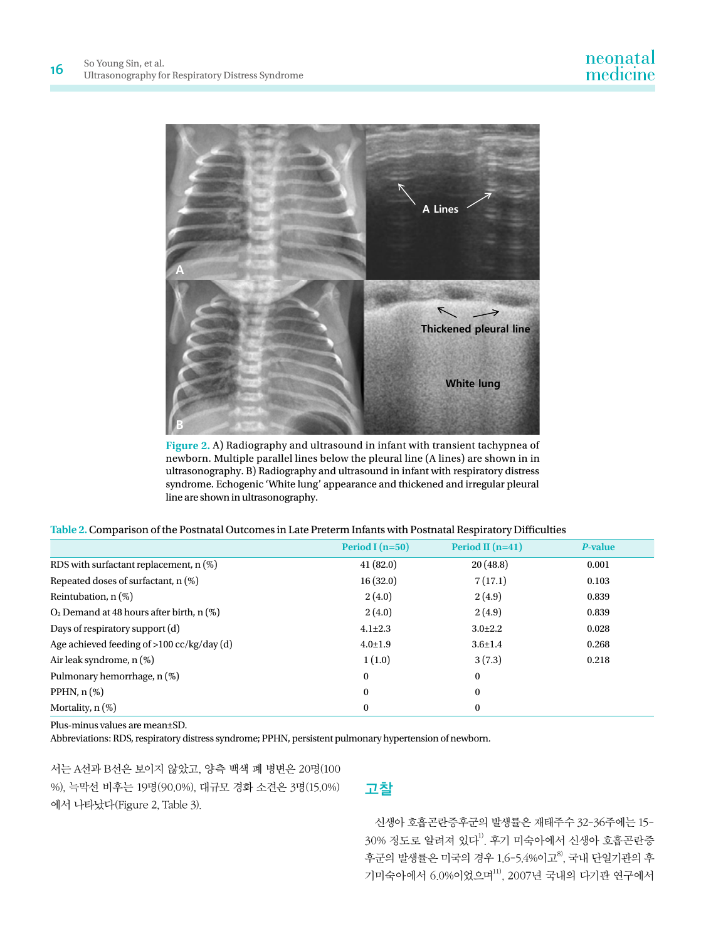

**Figure 2.** A) Radiography and ultrasound in infant with transient tachypnea of newborn. Multiple parallel lines below the pleural line (A lines) are shown in in ultrasonography. B) Radiography and ultrasound in infant with respiratory distress syndrome. Echogenic 'White lung' appearance and thickened and irregular pleural line are shown in ultrasonography.

| Table 2. Comparison of the Postnatal Outcomes in Late Preterm Infants with Postnatal Respiratory Difficulties |
|---------------------------------------------------------------------------------------------------------------|
|---------------------------------------------------------------------------------------------------------------|

|                                               | Period I $(n=50)$ | Period II $(n=41)$ | P-value |
|-----------------------------------------------|-------------------|--------------------|---------|
| RDS with surfactant replacement, $n$ (%)      | 41(82.0)          | 20(48.8)           | 0.001   |
| Repeated doses of surfactant, $n$ (%)         | 16(32.0)          | 7(17.1)            | 0.103   |
| Reintubation, $n$ (%)                         | 2(4.0)            | 2(4.9)             | 0.839   |
| $O2$ Demand at 48 hours after birth, n $(\%)$ | 2(4.0)            | 2(4.9)             | 0.839   |
| Days of respiratory support (d)               | $4.1 \pm 2.3$     | $3.0 \pm 2.2$      | 0.028   |
| Age achieved feeding of $>100$ cc/kg/day (d)  | $4.0 \pm 1.9$     | $3.6 \pm 1.4$      | 0.268   |
| Air leak syndrome, n (%)                      | 1(1.0)            | 3(7.3)             | 0.218   |
| Pulmonary hemorrhage, n (%)                   | $\theta$          | $\mathbf{0}$       |         |
| PPHN, $n$ $(\%)$                              | $\bf{0}$          | $\bf{0}$           |         |
| Mortality, $n$ (%)                            | $\bf{0}$          | $\bf{0}$           |         |

Plus-minus values are mean±SD.

Abbreviations: RDS, respiratory distress syndrome; PPHN, persistent pulmonary hypertension of newborn.

서는 A선과 B선은 보이지 않았고, 양측 백색 폐 병변은 20명(100 %), 늑막선 비후는 19명(90.0%), 대규모 경화 소견은 3명(15.0%) 에서 나타났다(Figure 2, Table 3).

# 고찰

신생아 호흡곤란증후군의 발생률은 재태주수 32-36주에는 15-  $30\%$  정도로 알려져 있다 $^{1)}$ . 후기 미숙아에서 신생아 호흡곤란증 후군의 발생률은 미국의 경우 1.6-5.4%이고 $^{8}$ , 국내 단일기관의 후 기미숙아에서 6.0%이었으며11), 2007년 국내의 다기관 연구에서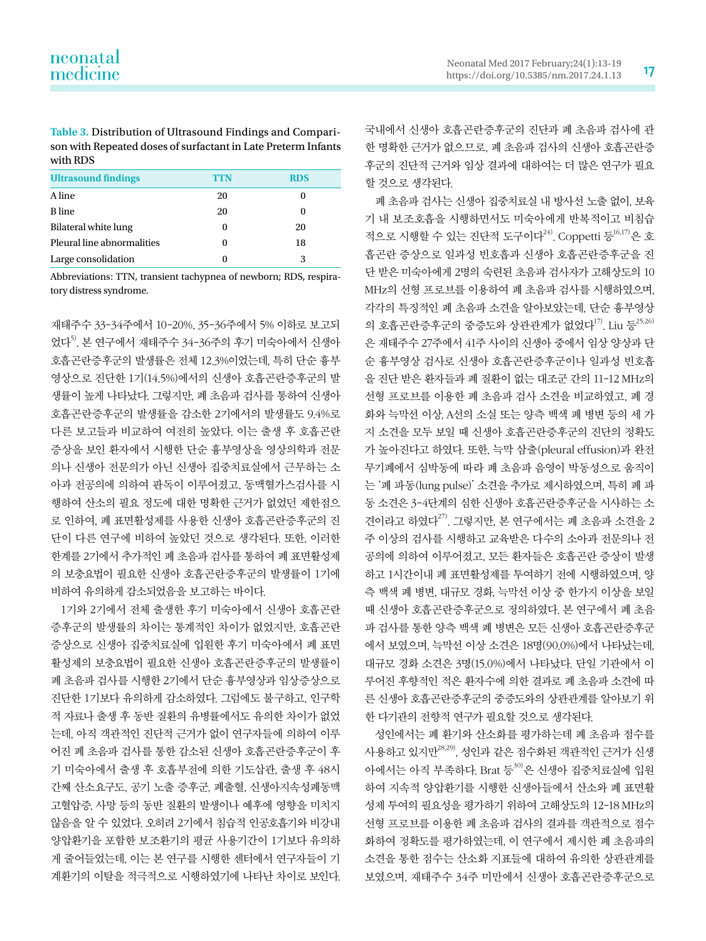**Table 3.** Distribution of Ultrasound Findings and Comparison with Repeated doses of surfactant in Late Preterm Infants with RDS

| <b>Ultrasound findings</b> | TTN | <b>RDS</b> |
|----------------------------|-----|------------|
| A line                     | 20  |            |
| <b>B</b> line              | 20  |            |
| Bilateral white lung       | 0   | 20         |
| Pleural line abnormalities | 0   | 18         |
| Large consolidation        |     | 3          |

Abbreviations: TTN, transient tachypnea of newborn; RDS, respiratory distress syndrome.

재태주수 33-34주에서 10-20%, 35-36주에서 5% 이하로 보고되 었다5). 본 연구에서 재태주수 34-36주의 후기 미숙아에서 신생아 호흡곤란증후군의 발생률은 전체 12.3%이었는데, 특히 단순 흉부 영상으로 진단한 1기(14.5%)에서의 신생아 호흡곤란증후군의 발 생률이 높게 나타났다. 그렇지만, 폐 초음파 검사를 통하여 신생아 호흡곤란증후군의 발생률을 감소한 2기에서의 발생률도 9.4%로 다른 보고들과 비교하여 여전히 높았다. 이는 출생 후 호흡곤란 증상을 보인 환자에서 시행한 단순 흉부영상을 영상의학과 전문 의나 신생아 전문의가 아닌 신생아 집중치료실에서 근무하는 소 아과 전공의에 의하여 판독이 이루어졌고, 동맥혈가스검사를 시 행하여 산소의 필요 정도에 대한 명확한 근거가 없었던 제한점으 로 인하여, 폐 표면활성제를 사용한 신생아 호흡곤란증후군의 진 단이 다른 연구에 비하여 높았던 것으로 생각된다. 또한, 이러한 한계를 2기에서 추가적인 폐 초음파 검사를 통하여 폐 표면활성제 의 보충요법이 필요한 신생아 호흡곤란증후군의 발생률이 1기에 비하여 유의하게 감소되었음을 보고하는 바이다.

1기와 2기에서 전체 출생한 후기 미숙아에서 신생아 호흡곤란 증후군의 발생률의 차이는 통계적인 차이가 없었지만, 호흡곤란 증상으로 신생아 집중치료실에 입원한 후기 미숙아에서 폐 표면 활성제의 보충요법이 필요한 신생아 호흡곤란증후군의 발생률이 폐 초음파 검사를 시행한 2기에서 단순 흉부영상과 임상증상으로 진단한 1기보다 유의하게 감소하였다. 그럼에도 불구하고, 인구학 적 자료나 출생 후 동반 질환의 유병률에서도 유의한 차이가 없었 는데, 아직 객관적인 진단적 근거가 없이 연구자들에 의하여 이루 어진 폐 초음파 검사를 통한 감소된 신생아 호흡곤란증후군이 후 기 미숙아에서 출생 후 호흡부전에 의한 기도삽관, 출생 후 48시 간째 산소요구도, 공기 노출 증후군, 폐출혈, 신생아지속성폐동맥 고혈압증, 사망 등의 동반 질환의 발생이나 예후에 영향을 미치지 않음을 알 수 있었다. 오히려 2기에서 침습적 인공호흡기와 비강내 양압환기을 포함한 보조환기의 평균 사용기간이 1기보다 유의하 게 줄어들었는데, 이는 본 연구를 시행한 센터에서 연구자들이 기 계환기의 이탈을 적극적으로 시행하였기에 나타난 차이로 보인다. 국내에서 신생아 호흡곤란증후군의 진단과 폐 초음파 검사에 관 한 명확한 근거가 없으므로, 폐 초음파 검사의 신생아 호흡곤란증 후군의 진단적 근거와 임상 결과에 대하여는 더 많은 연구가 필요 할 것으로 생각된다.

폐 초음파 검사는 신생아 집중치료실 내 방사선 노출 없이, 보육 기 내 보조호흡을 시행하면서도 미숙아에게 반복적이고 비침습 적으로 시행할 수 있는 진단적 도구이다<sup>24)</sup>. Coppetti 등<sup>16,17)</sup>은 호 흡곤란 증상으로 일과성 빈호흡과 신생아 호흡곤란증후군을 진 단 받은 미숙아에게 2명의 숙련된 초음파 검사자가 고해상도의 10 MHz의 선형 프로브를 이용하여 폐 초음파 검사를 시행하였으며, 각각의 특징적인 폐 초음파 소견을 알아보았는데, 단순 흉부영상 의 호흡곤란증후군의 중증도와 상관관계가 없었다 $^{17}$ . Liu 등 $^{25,26}$ 은 재태주수 27주에서 41주 사이의 신생아 중에서 임상 양상과 단 순 흉부영상 검사로 신생아 호흡곤란증후군이나 일과성 빈호흡 을 진단 받은 환자들과 폐 질환이 없는 대조군 간의 11-12 MHz의 선형 프로브를 이용한 폐 초음파 검사 소견을 비교하였고, 폐 경 화와 늑막선 이상, A선의 소실 또는 양측 백색 폐 병변 등의 세 가 지 소견을 모두 보일 때 신생아 호흡곤란증후군의 진단의 정확도 가 높아진다고 하였다. 또한, 늑막 삼출(pleural effusion)과 완전 무기폐에서 심박동에 따라 폐 초음파 음영이 박동성으로 움직이 는 '폐 파동(lung pulse)' 소견을 추가로 제시하였으며, 특히 폐 파 동 소견은 3-4단계의 심한 신생아 호흡곤란증후군을 시사하는 소 견이라고 하였다27). 그렇지만, 본 연구에서는 폐 초음파 소견을 2 주 이상의 검사를 시행하고 교육받은 다수의 소아과 전문의나 전 공의에 의하여 이루어졌고, 모든 환자들은 호흡곤란 증상이 발생 하고 1시간이내 폐 표면활성제를 투여하기 전에 시행하였으며, 양 측 백색 폐 병변, 대규모 경화, 늑막선 이상 중 한가지 이상을 보일 때 신생아 호흡곤란증후군으로 정의하였다. 본 연구에서 폐 초음 파 검사를 통한 양측 백색 폐 병변은 모든 신생아 호흡곤란증후군 에서 보였으며, 늑막선 이상 소견은 18명(90.0%)에서 나타났는데, 대규모 경화 소견은 3명(15.0%)에서 나타났다. 단일 기관에서 이 루어진 후향적인 적은 환자수에 의한 결과로 폐 초음파 소견에 따 른 신생아 호흡곤란증후군의 중증도와의 상관관계를 알아보기 위 한 다기관의 전향적 연구가 필요할 것으로 생각된다.

성인에서는 폐 환기와 산소화를 평가하는데 폐 초음파 점수를 사용하고 있지만28,29), 성인과 같은 점수화된 객관적인 근거가 신생 아에서는 아직 부족하다. Brat 등30)은 신생아 집중치료실에 입원 하여 지속적 양압환기를 시행한 신생아들에서 산소와 폐 표면활 성제 투여의 필요성을 평가하기 위하여 고해상도의 12-18 MHz의 선형 프로브를 이용한 폐 초음파 검사의 결과를 객관적으로 점수 화하여 정확도를 평가하였는데, 이 연구에서 제시한 폐 초음파의 소견을 통한 점수는 산소화 지표들에 대하여 유의한 상관관계를 보였으며, 재태주수 34주 미만에서 신생아 호흡곤란증후군으로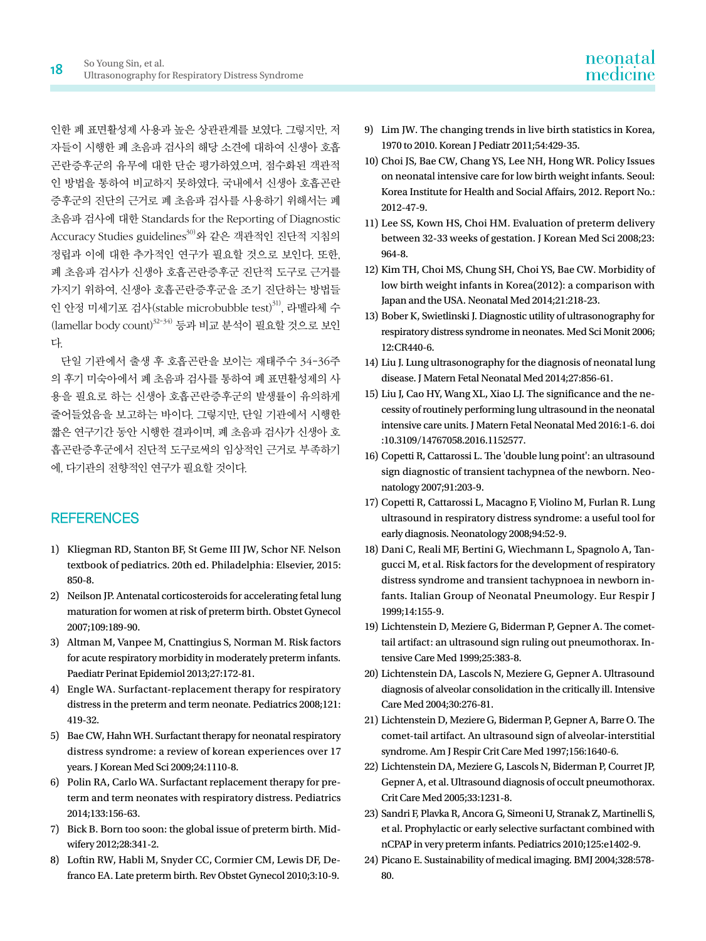인한 폐 표면활성제 사용과 높은 상관관계를 보였다. 그렇지만, 저 자들이 시행한 폐 초음파 검사의 해당 소견에 대하여 신생아 호흡 곤란증후군의 유무에 대한 단순 평가하였으며, 점수화된 객관적 인 방법을 통하여 비교하지 못하였다. 국내에서 신생아 호흡곤란 증후군의 진단의 근거로 폐 초음파 검사를 사용하기 위해서는 폐 초음파 검사에 대한 Standards for the Reporting of Diagnostic Accuracy Studies guidelines<sup>30)</sup>와 같은 객관적인 진단적 지침의 정립과 이에 대한 추가적인 연구가 필요할 것으로 보인다. 또한, 폐 초음파 검사가 신생아 호흡곤란증후군 진단적 도구로 근거를 가지기 위하여, 신생아 호흡곤란증후군을 조기 진단하는 방법들 인 안정 미세기포 검사(stable microbubble test)<sup>31)</sup>, 라멜라체 수 (lamellar body count)32-34) 등과 비교 분석이 필요할 것으로 보인 다.

단일 기관에서 출생 후 호흡곤란을 보이는 재태주수 34-36주 의 후기 미숙아에서 폐 초음파 검사를 통하여 폐 표면활성제의 사 용을 필요로 하는 신생아 호흡곤란증후군의 발생률이 유의하게 줄어들었음을 보고하는 바이다. 그렇지만, 단일 기관에서 시행한 짧은 연구기간 동안 시행한 결과이며, 폐 초음파 검사가 신생아 호 흡곤란증후군에서 진단적 도구로써의 임상적인 근거로 부족하기 에, 다기관의 전향적인 연구가 필요할 것이다.

# **REFERENCES**

- 1) Kliegman RD, Stanton BF, St Geme III JW, Schor NF. Nelson textbook of pediatrics. 20th ed. Philadelphia: Elsevier, 2015: 850-8.
- 2) Neilson JP. Antenatal corticosteroids for accelerating fetal lung maturation for women at risk of preterm birth. Obstet Gynecol 2007;109:189-90.
- 3) Altman M, Vanpee M, Cnattingius S, Norman M. Risk factors for acute respiratory morbidity in moderately preterm infants. Paediatr Perinat Epidemiol 2013;27:172-81.
- 4) Engle WA. Surfactant-replacement therapy for respiratory distress in the preterm and term neonate. Pediatrics 2008;121: 419-32.
- 5) Bae CW, Hahn WH. Surfactant therapy for neonatal respiratory distress syndrome: a review of korean experiences over 17 years. J Korean Med Sci 2009;24:1110-8.
- 6) Polin RA, Carlo WA. Surfactant replacement therapy for preterm and term neonates with respiratory distress. Pediatrics 2014;133:156-63.
- 7) Bick B. Born too soon: the global issue of preterm birth. Midwifery 2012;28:341-2.
- 8) Loftin RW, Habli M, Snyder CC, Cormier CM, Lewis DF, Defranco EA. Late preterm birth. Rev Obstet Gynecol 2010;3:10-9.
- 9) Lim JW. The changing trends in live birth statistics in Korea, 1970 to 2010. Korean J Pediatr 2011;54:429-35.
- 10) Choi JS, Bae CW, Chang YS, Lee NH, Hong WR. Policy Issues on neonatal intensive care for low birth weight infants. Seoul: Korea Institute for Health and Social Affairs, 2012. Report No.: 2012-47-9.
- 11) Lee SS, Kown HS, Choi HM. Evaluation of preterm delivery between 32-33 weeks of gestation. J Korean Med Sci 2008;23: 964-8.
- 12) Kim TH, Choi MS, Chung SH, Choi YS, Bae CW. Morbidity of low birth weight infants in Korea(2012): a comparison with Japan and the USA. Neonatal Med 2014;21:218-23.
- 13) Bober K, Swietlinski J. Diagnostic utility of ultrasonography for respiratory distress syndrome in neonates. Med Sci Monit 2006; 12:CR440-6.
- 14) Liu J. Lung ultrasonography for the diagnosis of neonatal lung disease. J Matern Fetal Neonatal Med 2014;27:856-61.
- 15) Liu J, Cao HY, Wang XL, Xiao LJ. The significance and the necessity of routinely performing lung ultrasound in the neonatal intensive care units. J Matern Fetal Neonatal Med 2016:1-6. doi :10.3109/14767058.2016.1152577.
- 16) Copetti R, Cattarossi L. The 'double lung point': an ultrasound sign diagnostic of transient tachypnea of the newborn. Neonatology 2007;91:203-9.
- 17) Copetti R, Cattarossi L, Macagno F, Violino M, Furlan R. Lung ultrasound in respiratory distress syndrome: a useful tool for early diagnosis. Neonatology 2008;94:52-9.
- 18) Dani C, Reali MF, Bertini G, Wiechmann L, Spagnolo A, Tangucci M, et al. Risk factors for the development of respiratory distress syndrome and transient tachypnoea in newborn infants. Italian Group of Neonatal Pneumology. Eur Respir J 1999;14:155-9.
- 19) Lichtenstein D, Meziere G, Biderman P, Gepner A. The comettail artifact: an ultrasound sign ruling out pneumothorax. Intensive Care Med 1999;25:383-8.
- 20) Lichtenstein DA, Lascols N, Meziere G, Gepner A. Ultrasound diagnosis of alveolar consolidation in the critically ill. Intensive Care Med 2004;30:276-81.
- 21) Lichtenstein D, Meziere G, Biderman P, Gepner A, Barre O. The comet-tail artifact. An ultrasound sign of alveolar-interstitial syndrome. Am J Respir Crit Care Med 1997;156:1640-6.
- 22) Lichtenstein DA, Meziere G, Lascols N, Biderman P, Courret JP, Gepner A, et al. Ultrasound diagnosis of occult pneumothorax. Crit Care Med 2005;33:1231-8.
- 23) Sandri F, Plavka R, Ancora G, Simeoni U, Stranak Z, Martinelli S, et al. Prophylactic or early selective surfactant combined with nCPAP in very preterm infants. Pediatrics 2010;125:e1402-9.
- 24) Picano E. Sustainability of medical imaging. BMJ 2004;328:578- 80.